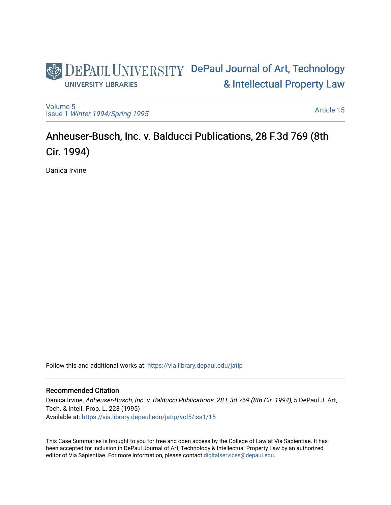# DEPAUL UNIVERSITY DePaul Journal of Art, Technology [& Intellectual Property Law](https://via.library.depaul.edu/jatip)  **UNIVERSITY LIBRARIES**

[Volume 5](https://via.library.depaul.edu/jatip/vol5) Issue 1 [Winter 1994/Spring 1995](https://via.library.depaul.edu/jatip/vol5/iss1)

[Article 15](https://via.library.depaul.edu/jatip/vol5/iss1/15) 

# Anheuser-Busch, Inc. v. Balducci Publications, 28 F.3d 769 (8th Cir. 1994)

Danica Irvine

Follow this and additional works at: [https://via.library.depaul.edu/jatip](https://via.library.depaul.edu/jatip?utm_source=via.library.depaul.edu%2Fjatip%2Fvol5%2Fiss1%2F15&utm_medium=PDF&utm_campaign=PDFCoverPages)

## Recommended Citation

Danica Irvine, Anheuser-Busch, Inc. v. Balducci Publications, 28 F.3d 769 (8th Cir. 1994), 5 DePaul J. Art, Tech. & Intell. Prop. L. 223 (1995) Available at: [https://via.library.depaul.edu/jatip/vol5/iss1/15](https://via.library.depaul.edu/jatip/vol5/iss1/15?utm_source=via.library.depaul.edu%2Fjatip%2Fvol5%2Fiss1%2F15&utm_medium=PDF&utm_campaign=PDFCoverPages) 

This Case Summaries is brought to you for free and open access by the College of Law at Via Sapientiae. It has been accepted for inclusion in DePaul Journal of Art, Technology & Intellectual Property Law by an authorized editor of Via Sapientiae. For more information, please contact [digitalservices@depaul.edu](mailto:digitalservices@depaul.edu).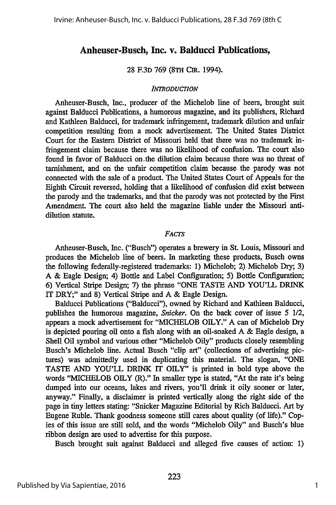## **Anheuser-Busch, Inc. v. Balducci Publications,**

#### 28 F.3D 769 **(8TH** CIR. 1994).

#### *INTRODUCTION*

Anheuser-Busch, Inc., producer of the Michelob line of beers, brought suit against Balducci Publications, a humorous magazine, and its publishers, Richard and Kathleen Balducci, for trademark infringement, trademark dilution and unfair competition resulting from a mock advertisement. The United States District Court for the Eastern District of Missouri held that there was no trademark infringement claim because there was no likelihood of confusion. The court also found in favor of Balducci on.the dilution claim because there was no threat of tarnishment, and on the unfair competition claim because the parody was not connected with the sale of a product. The United States Court of Appeals for the Eighth Circuit reversed, holding that a likelihood of confusion did exist between the parody and the trademarks, and that the parody was not protected **by** the First Amendment. The court also held the magazine liable under the Missouri antidilution statute.

#### *FACTS*

Anheuser-Busch, Inc. ("Busch") operates a brewery in St. Louis, Missouri and produces the Michelob line of beers. In marketing these products, Busch owns the following federally-registered trademarks: 1) Michelob; 2) Michelob Dry; **3) A &** Eagle Design; 4) Bottle and Label Configuration; **5)** Bottle Configuration; **6)** Vertical Stripe Design; **7)** the phrase "ONE **TASTE AND YOU'LL** DRINK IT DRY;" and **8)** Vertical Stripe and **A &** Eagle Design.

Balducci Publications ("Balducci"), owned **by** Richard and Kathleen Balducci, publishes the humorous magazine, *Snicker.* On the back cover of issue **5** 1/2, appears a mock advertisement for **"MICHELOB** OILY." **A** can of Michelob Dry is depicted pouring oil onto a fish along with an oil-soaked **A &** Eagle design, a Shell Oil symbol and various other "Michelob Oily" products closely resembling Busch's Michelob line. Actual Busch "clip art" (collections of advertising pictures) was admittedly used in duplicating this material. The slogan, **"ONE TASTE AND YOU'LL** DRINK IT OILY" is printed in bold type above the words **"MICHELOB** OILY (R)." In smaller type is stated, "At the rate it's being dumped into our oceans, lakes and rivers, you'll drink it oily sooner or later, anyway." Finally, a disclaimer is printed vertically along the right side of the page in tiny letters stating: "Snicker Magazine Editorial **by** Rich Balducci. Art **by** Eugene Ruble. Thank goodness someone still cares about quality (of life)." Copies of this issue are still sold, and the words "Michelob Oily" and Busch's blue ribbon design are used to advertise for this purpose.

Busch brought suit against Balducci and alleged five causes of action: **1)**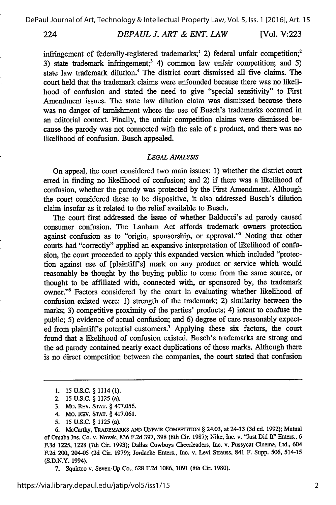224

*DEPAUL J. ART & ENT. LAW* [Vol. V:223

infringement of federally-registered trademarks;<sup>1</sup> 2) federal unfair competition;<sup>2</sup> 3) state trademark infringement;<sup>3</sup> 4) common law unfair competition; and 5) state law trademark dilution.' The district court dismissed all five claims. The court held that the trademark claims were unfounded because there was no likelihood of confusion and stated the need to give "special sensitivity" to First Amendment issues. The state law dilution claim was dismissed because there was no danger of tarnishment where the use of Busch's trademarks occurred in an editorial context. Finally, the unfair competition claims were dismissed because the parody was not connected with the sale of a product, and there was no likelihood of confusion. Busch appealed.

#### *LEGAL ANALYSIS*

On appeal, the court considered two main issues: 1) whether the district court erred in finding no likelihood of confusion; and 2) if there was a likelihood of confusion, whether the parody was protected by the First Amendment. Although the court considered these to be dispositive, it also addressed Busch's dilution claim insofar as it related to the relief available to Busch.

The court first addressed the issue of whether Balducci's ad parody caused consumer confusion. The Lanham Act affords trademark owners protection against confusion as to "origin, sponsorship, or approval."5 Noting that other courts had "correctly" applied an expansive interpretation of likelihood of confusion, the court proceeded to apply this expanded version which included "protection against use of [plaintiff's] mark on any product or service which would reasonably be thought by the buying public to come from the same source, or thought to be affiliated with, connected with, or sponsored by, the trademark owner." Factors considered by the court in evaluating whether likelihood of confusion existed were: 1) strength of the trademark; 2) similarity between the marks; 3) competitive proximity of the parties' products; 4) intent to confuse the public; 5) evidence of actual confusion; and 6) degree of care reasonably expected from plaintiff's potential customers.7 Applying these six factors, the court found that a likelihood of confusion existed. Busch's trademarks are strong and the ad parody contained nearly exact duplications of those marks. Although there is no direct competition between the companies, the court stated that confusion

- 4. Mo. REv. STAT. § 417.061.
- *5.* 15 U.S.C. § 1125 (a).

**6. McCarthy, TRADEMARKS AND UNFAIR COMPETITION** § 24.03, at 24-13 **(3d** ed. **1992);** Mutual of Omaha Ins. Co. v. Novak, **836 F.2d** 397, 398 (8th Cir. 1987); Nike, Inc. v. "Just Did It" Enters., **6** F.3d 1225, 1228 (7th Cir. **1993);** Dallas Cowboys Cheerleaders, Inc. v. Pussycat Cinema, Ltd., 604 F.2d 200, 204-05 (2d Cir. 1979); Jordache Enters., Inc. v. Levi Strauss, 841 F. Supp. 506, 514-15 **(S.D.N.Y.** 1994).

7. Squirtco v. Seven-Up Co., 628 F.2d 1086, 1091 (8th Cir. 1980).

**<sup>1.</sup>** 15 **U.S.C.** § **1114 (1).**

<sup>2. 15</sup> U.S.C. § **1125** (a).

<sup>3.</sup> Mo. REv. **STAT.** § 417.056.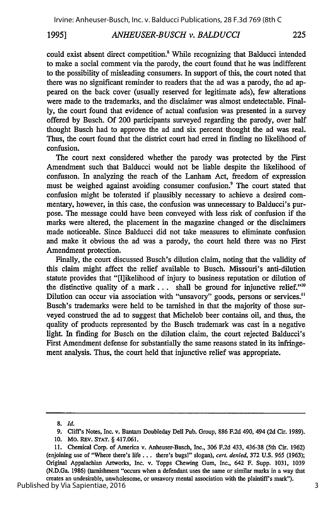### *ANHEUSER-BUSCH v. BALDUCCI* **1995] 225**

could exist absent direct competition.' While recognizing that Balducci intended to make a social comment via the parody, the court found that he was indifferent to the possibility of misleading consumers. In support of this, the court noted that there was no significant reminder to readers that the ad was a parody, the ad appeared on the back cover (usually reserved for legitimate ads), few alterations were made to the trademarks, and the disclaimer was almost undetectable. Finally, the court found that evidence of actual confusion was presented in a survey offered by Busch. Of 200 participants surveyed regarding the parody, over half thought Busch had to approve the ad and six percent thought the ad was real. Thus, the court found that the district court had erred in finding no likelihood of confusion.

The court next considered whether the parody was protected by the First Amendment such that Balducci would not be liable despite the likelihood of confusion. In analyzing the reach of the Lanham Act, freedom of expression must be weighed against avoiding consumer confusion.<sup>9</sup> The court stated that confusion might be tolerated if plausibly necessary to achieve a desired commentary, however, in this case, the confusion was unnecessary to Balducci's purpose. The message could have been conveyed with less risk of confusion if the marks were altered, the placement in the magazine changed or the disclaimers made noticeable. Since Balducci did not take measures to eliminate confusion and make it obvious the ad was a parody, the court held there was no First Amendment protection.

Finally, the court discussed Busch's dilution claim, noting that the validity of this claim might affect the relief available to Busch. Missouri's anti-dilution statute provides that "[l]ikelihood of injury to business reputation or dilution of the distinctive quality of a mark **...** shall be ground for injunctive relief."' Dilution can occur via association with "unsavory" goods, persons or services." Busch's trademarks were held to be tarnished in that the majority of those surveyed construed the ad to suggest that Michelob beer contains oil, and thus, the quality of products represented by the Busch trademark was cast in a negative light. In finding for Busch on the dilution claim, the court rejected Balducci's First Amendment defense for substantially the same reasons stated in its infringement analysis. Thus, the court held that injunctive relief was appropriate.

Published by Via Sapientiae, 2016

**<sup>8.</sup> Id.**

<sup>9.</sup> Cliff's Notes, Inc. v. Bantam Doubleday Dell Pub. Group, 886 F.2d 490, 494 (2d Cir. 1989).

**<sup>10.</sup>** Mo. REv. **STAT.** § 417.061.

<sup>11.</sup> Chemical Corp. of America v. Anheuser-Busch, Inc., 306 F.2d 433, 436-38 (5th Cir. 1962) (enjoining use of "Where there's life **...** there's bugs!" slogan), *cert. denied,* 372 U.S. 965 (1963); Original Appalachian Artworks, Inc. v. Topps Chewing Gum, Inc., 642 F. Supp. 1031, 1039 (N.D.Ga. 1986) (tarnishment "occurs when a defendant uses the same or similar marks in a way that creates an undesirable, unwholesome, or unsavory mental association with the plaintiff's mark").